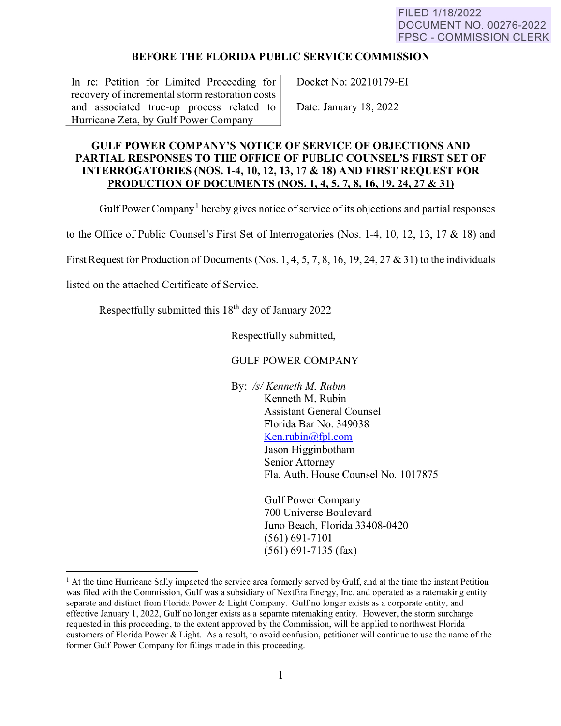## **BEFORE THE FLORIDA PUBLIC SERVICE COMMISSION**

In re: Petition for Limited Proceeding for recovery of incremental storm restoration costs and associated true-up process related to Hurricane Zeta, by Gulf Power Company

Docket No: 202101 79-EI

Date: January 18, 2022

## **GULF POWER COMPANY'S NOTICE OF SERVICE OF OBJECTIONS AND PARTIAL RESPONSES TO THE OFFICE OF PUBLIC COUNSEL'S FIRST SET OF INTERROGATORIES (NOS.1-4, 10, 12, 13, 17** & **18) AND FIRST REQUEST FOR PRODUCTION OF DOCUMENTS (NOS. 1, 4, 5,** 7, **8, 16, 19, 24, 27** & **31}**

Gulf Power Company<sup>1</sup> hereby gives notice of service of its objections and partial responses

to the Office of Public Counsel's First Set of Interrogatories (Nos. 1-4, 10, 12, 13, 17  $&$  18) and

First Request for Production of Documents (Nos. 1, 4, 5, 7, 8, 16, 19, 24, 27 & 31) to the individuals

listed on the attached Certificate of Service.

Respectfully submitted this  $18<sup>th</sup>$  day of January 2022

Respectfully submitted,

## GULF POWER COMPANY

By: *Isl Kenneth M. Rubin* 

Kenneth M. Rubin Assistant General Counsel Florida Bar No. 349038 Ken. rubin $@$ fpl.com Jason Higginbotham Senior Attorney Fla. Auth. House Counsel No. 1017875

Gulf Power Company 700 Universe Boulevard Juno Beach, Florida 33408-0420 (561) 691-7101 (561) 691-7135 (fax)

<span id="page-0-0"></span> $<sup>1</sup>$  At the time Hurricane Sally impacted the service area formerly served by Gulf, and at the time the instant Petition</sup> was filed with the Commission, Gulf was a subsidiary of NextEra Energy, Inc. and operated as a ratemaking entity separate and distinct from Florida Power & Light Company. Gulf no longer exists as a corporate entity, and effective January 1, 2022, Gulf no longer exists as a separate ratemaking entity. However, the storm surcharge requested in this proceeding, to the extent approved by the Commission, will be applied to northwest Florida customers of Florida Power & Light. As a result, to avoid confusion, petitioner will continue to use the name of the former Gulf Power Company for filings made in this proceeding.